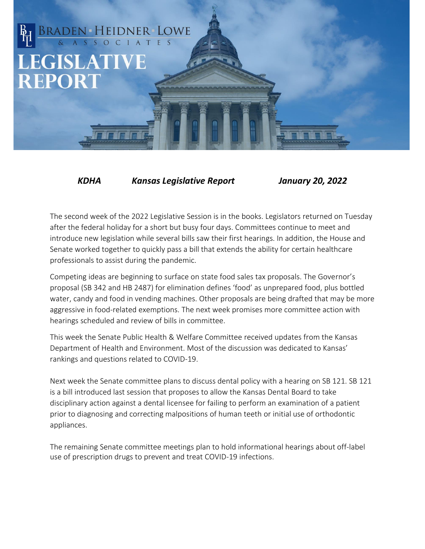## BRADEN HEIDNER LOWE **LEGISLATIVE REPORT**

*KDHA Kansas Legislative Report January 20, 2022*

The second week of the 2022 Legislative Session is in the books. Legislators returned on Tuesday after the federal holiday for a short but busy four days. Committees continue to meet and introduce new legislation while several bills saw their first hearings. In addition, the House and Senate worked together to quickly pass a bill that extends the ability for certain healthcare professionals to assist during the pandemic.

Competing ideas are beginning to surface on state food sales tax proposals. The Governor's proposal (SB 342 and HB 2487) for elimination defines 'food' as unprepared food, plus bottled water, candy and food in vending machines. Other proposals are being drafted that may be more aggressive in food-related exemptions. The next week promises more committee action with hearings scheduled and review of bills in committee.

This week the Senate Public Health & Welfare Committee received updates from the Kansas Department of Health and Environment. Most of the discussion was dedicated to Kansas' rankings and questions related to COVID-19.

Next week the Senate committee plans to discuss dental policy with a hearing on SB 121. SB 121 is a bill introduced last session that proposes to allow the Kansas Dental Board to take disciplinary action against a dental licensee for failing to perform an examination of a patient prior to diagnosing and correcting malpositions of human teeth or initial use of orthodontic appliances.

The remaining Senate committee meetings plan to hold informational hearings about off-label use of prescription drugs to prevent and treat COVID-19 infections.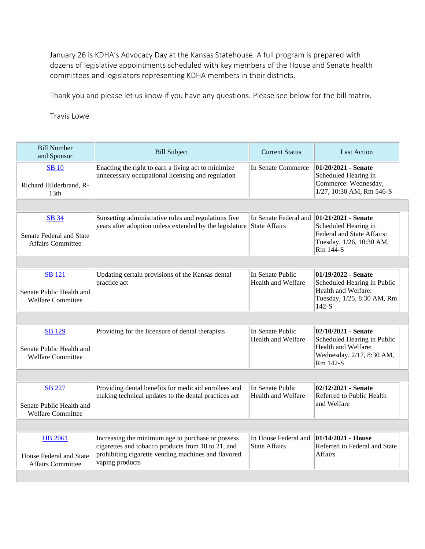January 26 is KDHA's Advocacy Day at the Kansas Statehouse. A full program is prepared with dozens of legislative appointments scheduled with key members of the House and Senate health committees and legislators representing KDHA members in their districts.

Thank you and please let us know if you have any questions. Please see below for the bill matrix.

Travis Lowe

| <b>Bill Number</b><br>and Sponsor                                     | <b>Bill Subject</b>                                                                                                                                                               | <b>Current Status</b>                                              | <b>Last Action</b>                                                                                                 |  |
|-----------------------------------------------------------------------|-----------------------------------------------------------------------------------------------------------------------------------------------------------------------------------|--------------------------------------------------------------------|--------------------------------------------------------------------------------------------------------------------|--|
| <b>SB</b> 10<br>Richard Hilderbrand, R-<br>13 <sub>th</sub>           | Enacting the right to earn a living act to minimize<br>unnecessary occupational licensing and regulation                                                                          | In Senate Commerce                                                 | 01/20/2021 - Senate<br>Scheduled Hearing in<br>Commerce: Wednesday,<br>1/27, 10:30 AM, Rm 546-S                    |  |
|                                                                       |                                                                                                                                                                                   |                                                                    |                                                                                                                    |  |
| SB 34<br>Senate Federal and State<br><b>Affairs Committee</b>         | Sunsetting administrative rules and regulations five<br>years after adoption unless extended by the legislature                                                                   | In Senate Federal and $\vert 01/21/2021$ - Senate<br>State Affairs | Scheduled Hearing in<br>Federal and State Affairs:<br>Tuesday, 1/26, 10:30 AM,<br>Rm 144-S                         |  |
|                                                                       |                                                                                                                                                                                   |                                                                    |                                                                                                                    |  |
| <b>SB</b> 121<br>Senate Public Health and<br><b>Welfare Committee</b> | Updating certain provisions of the Kansas dental<br>practice act                                                                                                                  | In Senate Public<br>Health and Welfare                             | 01/19/2022 - Senate<br>Scheduled Hearing in Public<br>Health and Welfare:<br>Tuesday, 1/25, 8:30 AM, Rm<br>$142-S$ |  |
|                                                                       |                                                                                                                                                                                   |                                                                    |                                                                                                                    |  |
| <b>SB</b> 129<br>Senate Public Health and<br><b>Welfare Committee</b> | Providing for the licensure of dental therapists                                                                                                                                  | In Senate Public<br>Health and Welfare                             | 02/10/2021 - Senate<br>Scheduled Hearing in Public<br>Health and Welfare:<br>Wednesday, 2/17, 8:30 AM,<br>Rm 142-S |  |
|                                                                       |                                                                                                                                                                                   |                                                                    |                                                                                                                    |  |
| SB 227<br>Senate Public Health and<br><b>Welfare Committee</b>        | Providing dental benefits for medicaid enrollees and<br>making technical updates to the dental practices act                                                                      | In Senate Public<br>Health and Welfare                             | 02/12/2021 - Senate<br>Referred to Public Health<br>and Welfare                                                    |  |
|                                                                       |                                                                                                                                                                                   |                                                                    |                                                                                                                    |  |
| <b>HB</b> 2061<br>House Federal and State<br><b>Affairs Committee</b> | Increasing the minimum age to purchase or possess<br>cigarettes and tobacco products from 18 to 21, and<br>prohibiting cigarette vending machines and flavored<br>vaping products | In House Federal and<br><b>State Affairs</b>                       | $ 01/14/2021$ - House<br>Referred to Federal and State<br>Affairs                                                  |  |